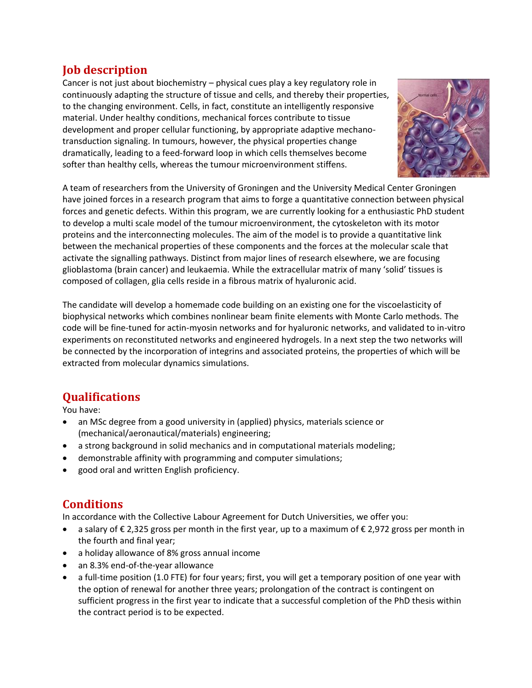### **Job description**

Cancer is not just about biochemistry – physical cues play a key regulatory role in continuously adapting the structure of tissue and cells, and thereby their properties, to the changing environment. Cells, in fact, constitute an intelligently responsive material. Under healthy conditions, mechanical forces contribute to tissue development and proper cellular functioning, by appropriate adaptive mechanotransduction signaling. In tumours, however, the physical properties change dramatically, leading to a feed-forward loop in which cells themselves become softer than healthy cells, whereas the tumour microenvironment stiffens.



A team of researchers from the University of Groningen and the University Medical Center Groningen have joined forces in a research program that aims to forge a quantitative connection between physical forces and genetic defects. Within this program, we are currently looking for a enthusiastic PhD student to develop a multi scale model of the tumour microenvironment, the cytoskeleton with its motor proteins and the interconnecting molecules. The aim of the model is to provide a quantitative link between the mechanical properties of these components and the forces at the molecular scale that activate the signalling pathways. Distinct from major lines of research elsewhere, we are focusing glioblastoma (brain cancer) and leukaemia. While the extracellular matrix of many 'solid' tissues is composed of collagen, glia cells reside in a fibrous matrix of hyaluronic acid.

The candidate will develop a homemade code building on an existing one for the viscoelasticity of biophysical networks which combines nonlinear beam finite elements with Monte Carlo methods. The code will be fine-tuned for actin-myosin networks and for hyaluronic networks, and validated to in-vitro experiments on reconstituted networks and engineered hydrogels. In a next step the two networks will be connected by the incorporation of integrins and associated proteins, the properties of which will be extracted from molecular dynamics simulations.

# **Qualifications**

You have:

- an MSc degree from a good university in (applied) physics, materials science or (mechanical/aeronautical/materials) engineering;
- a strong background in solid mechanics and in computational materials modeling;
- demonstrable affinity with programming and computer simulations;
- good oral and written English proficiency.

#### **Conditions**

In accordance with the Collective Labour Agreement for Dutch Universities, we offer you:

- a salary of € 2,325 gross per month in the first year, up to a maximum of € 2,972 gross per month in the fourth and final year;
- a holiday allowance of 8% gross annual income
- an 8.3% end-of-the-year allowance
- a full-time position (1.0 FTE) for four years; first, you will get a temporary position of one year with the option of renewal for another three years; prolongation of the contract is contingent on sufficient progress in the first year to indicate that a successful completion of the PhD thesis within the contract period is to be expected.